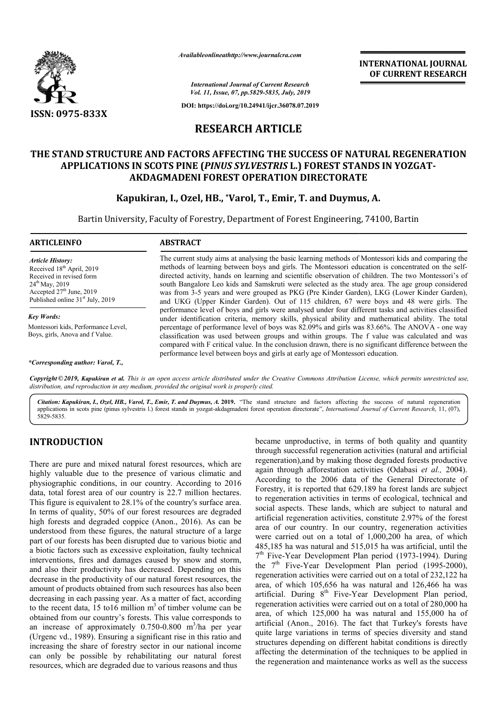

*Availableonlineathttp://www.journal Availableonlineathttp://www.journalcra.com*

**INTERNATIONAL JOURNAL OF CURRENT RESEARCH**

*International Journal of Current Research Vol. 11, Issue, 07, pp.5829-5835, July, 2019*

**DOI: https://doi.org/10.24941/ijcr.36078.07.2019**

# **RESEARCH ARTICLE**

# THE STAND STRUCTURE AND FACTORS AFFECTING THE SUCCESS OF NATURAL REGENERATION<br>APPLICATIONS IN SCOTS PINE (*PINUS SYLVESTRIS L*.) FOREST STANDS IN YOZGAT-**APPLICATIONS IN SCOTS PINE (** *PINUS SYLVESTRIS* **L.) FOREST STANDS IN YOZGAT AKDAGMADENI FOREST OPERATION DIRECTORATE**

# AKDAGMADENI FOREST OPERATION DIRECTORATE<br>Kapukiran, I., Ozel, HB., \*Varol, T., Emir, T. and Duymus, A.

Bartin University, Faculty of Forestry, Department of Forest Engineering, 74100, Bartin

#### **ARTICLEINFO ABSTRACT**

*Article History:* Received 18<sup>th</sup> April, 2019 Received in revised form 24<sup>th</sup> May, 2019 Accepted  $27<sup>th</sup>$  June, 2019 Published online 31<sup>st</sup> July, 2019

*Key Words:* Montessori kids, Performance Level, Boys, girls, Anova and f Value.

*\*Corresponding author: Varol, T.,*

The current study aims at analysing the basic learning methods of Montessori kids and comparing the The current study aims at analysing the basic learning methods of Montessori kids and comparing the methods of learning between boys and girls. The Montessori education is concentrated on the selfdirected activity, hands on learning and scientific observation of children. The two Montessori's of south Bangalore Leo kids and Samskruti were selected as the study area. The age group considered was from 3 3-5 years and were grouped as PKG (Pre Kinder Garden), LKG (Lower Kinder Garden), and UKG (Upper Kinder Gard Garden). Out of 115 children, 67 were boys and 48 were girls. The performance level of boys and girls were analysed under four different tasks and activities classified directed activity, hands on learning and scientific observation of children. The two Montessori's of south Bangalore Leo kids and Samskruti were selected as the study area. The age group considered was from 3-5 years and w percentage of performance level of boys was 82.09% and girls was 83.66%. The ANOVA - one way classification was used between groups and within groups. The f value was calculated and was compared with F critical value. In the conclusion drawn, there is no significant difference between the performance level between boys and girls at early age of Montessori education. classification was used between groups and within groups. The f value was calculated and v<br>compared with F critical value. In the conclusion drawn, there is no significant difference between<br>performance level between boys

Copyright©2019, Kapukiran et al. This is an open access article distributed under the Creative Commons Attribution License, which permits unrestricted use, *distribution, and reproduction in any medium, provided the original work is properly cited.*

Citation: Kapukiran, I., Ozel, HB., Varol, T., Emir, T. and Duymus, A. 2019. "The stand structure and factors affecting the success of natural regeneration applications in scots pine (pinus sylvestris l.) forest stands in yozgat-akdagmadeni forest operation directorate", *International Journal of Current Research*, 11, (07), 5829-5835.

# **INTRODUCTION**

There are pure and mixed natural forest resources, which are highly valuable due to the presence of various climatic and physiographic conditions, in our country. According to 2016 data, total forest area of our country is 22.7 million hectares. This figure is equivalent to 28.1% of the country's surface area. In terms of quality, 50% of our forest resources are degraded high forests and degraded coppice (Anon., 2016). As can be understood from these figures, the natural structure of a large part of our forests has been disrupted due to various biotic and a biotic factors such as excessive exploitation, faulty technical interventions, fires and damages caused by snow and storm, and also their productivity has decreased. Depending on this decrease in the productivity of our natural forest resources, the amount of products obtained from such resources has also been decreasing in each passing year. As a matter of fact, according to the recent data,  $15 \text{ tol}6$  million m<sup>3</sup> of timber volume can be obtained from our country's forests. This value corresponds to an increase of approximately 0.750-0.800 m /ha per year (Urgenc vd., 1989). Ensuring a significant rise in this ratio and increasing the share of forestry sector in our national income can only be possible by rehabilitating our natural forest resources, which are degraded due to various reasons and thus rstood from these figures, the natural struct<br>of our forests has been disrupted due to variatic<br>factors such as excessive exploitation, fa<br>ventions, fires and damages caused by sno<br>also their productivity has decreased. D

**ION**<br>
became unproductive, in terms of both quality and quantity<br>
duality and artificial<br>
and mixed natural forest resources, which are<br>
regeneration),and by making those degraded forests productive<br>
due to the presence through successful regeneration activities (natural and artificial became unproductive, in terms of both quality and quantity through successful regeneration activities (natural and artificial regeneration), and by making those degraded forests productive again through afforestation activities (Odabasi *et al.,* 2004). According to the 2006 data of the General Directorate of Forestry, it is reported that 629.1 Directorate 629.189 ha forest lands are subject to regeneration activities in terms of ecological, technical and social aspects. These lands, which are subject to natural and artificial regeneration activities, constitute 2.97% of the forest to regeneration activities in terms of ecological, technical and social aspects. These lands, which are subject to natural and artificial regeneration activities, constitute 2.97% of the forest area of our country. In our were carried out on a total of 1,000,200 ha area, of which 485,185 ha was natural and 515,015 ha was artificial, until the were carried out on a total of 1,000,200 ha area, of which 485,185 ha was natural and 515,015 ha was artificial, until the  $7<sup>th</sup>$  Five-Year Development Plan period (1973-1994). During the  $7<sup>th</sup>$  Five-Year Development Plan period (1995-2000), regeneration activities were carried out on a total of 232,122 ha area, of which 105,656 ha was natural and 126,466 ha was artificial. During 8<sup>th</sup> Five-Year Development Plan period, regeneration activities were carried out on a total of 280,000 ha area, of which 125,000 ha was natural and 155,000 ha of artificial (Anon., 2016). The fact that Turkey's forests have quite large variations in terms of species diversity and stand structures depending on different habitat conditions is directly affecting the determination of the techniques to be applied in the regeneration and maintenance works as well as the success **INTERNATIONAL JOURNAL EST (CORRENT RESEARCH CORRENT CORRENT CORRENT ASSEMIGNATION ACTIVE CORRENT CORRENT ASSEMBATION AND A SURFACT AND SURFACT AND AND SURFACT AND SURFACT AND AND SURFACT AND SURFACT AND SURFACT AND SURFAC**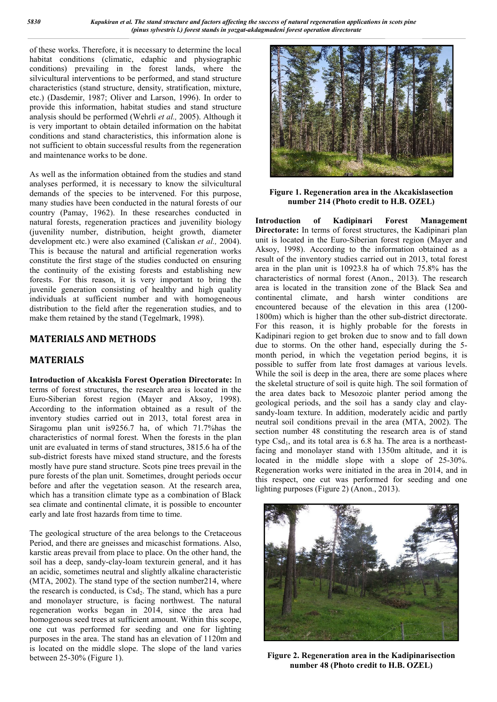of these works. Therefore, it is necessary to determine the local habitat conditions (climatic, edaphic and physiographic conditions) prevailing in the forest lands, where the silvicultural interventions to be performed, and stand structure characteristics (stand structure, density, stratification, mixture, etc.) (Dasdemir, 1987; Oliver and Larson, 1996). In order to provide this information, habitat studies and stand structure analysis should be performed (Wehrli *et al.,* 2005). Although it is very important to obtain detailed information on the habitat conditions and stand characteristics, this information alone is not sufficient to obtain successful results from the regeneration and maintenance works to be done.

As well as the information obtained from the studies and stand analyses performed, it is necessary to know the silvicultural demands of the species to be intervened. For this purpose, many studies have been conducted in the natural forests of our country (Pamay, 1962). In these researches conducted in natural forests, regeneration practices and juvenility biology (juvenility number, distribution, height growth, diameter development etc.) were also examined (Caliskan *et al.,* 2004). This is because the natural and artificial regeneration works constitute the first stage of the studies conducted on ensuring the continuity of the existing forests and establishing new forests. For this reason, it is very important to bring the juvenile generation consisting of healthy and high quality individuals at sufficient number and with homogeneous distribution to the field after the regeneration studies, and to make them retained by the stand (Tegelmark, 1998).

# **MATERIALS AND METHODS**

# **MATERIALS**

**Introduction of Akcakisla Forest Operation Directorate:** In terms of forest structures, the research area is located in the Euro-Siberian forest region (Mayer and Aksoy, 1998). According to the information obtained as a result of the inventory studies carried out in 2013, total forest area in Siragomu plan unit is9256.7 ha, of which 71.7%has the characteristics of normal forest. When the forests in the plan unit are evaluated in terms of stand structures, 3815.6 ha of the sub-district forests have mixed stand structure, and the forests mostly have pure stand structure. Scots pine trees prevail in the pure forests of the plan unit. Sometimes, drought periods occur before and after the vegetation season. At the research area, which has a transition climate type as a combination of Black sea climate and continental climate, it is possible to encounter early and late frost hazards from time to time.

The geological structure of the area belongs to the Cretaceous Period, and there are gneisses and micaschist formations. Also, karstic areas prevail from place to place. On the other hand, the soil has a deep, sandy-clay-loam texturein general, and it has an acidic, sometimes neutral and slightly alkaline characteristic (MTA, 2002). The stand type of the section number214, where the research is conducted, is  $Csd_2$ . The stand, which has a pure and monolayer structure, is facing northwest. The natural regeneration works began in 2014, since the area had homogenous seed trees at sufficient amount. Within this scope, one cut was performed for seeding and one for lighting purposes in the area. The stand has an elevation of 1120m and is located on the middle slope. The slope of the land varies between 25-30% (Figure 1).



**Figure 1. Regeneration area in the Akcakislasection number 214 (Photo credit to H.B. OZEL)**

**Introduction of Kadipinari Forest Management Directorate:** In terms of forest structures, the Kadipinari plan unit is located in the Euro-Siberian forest region (Mayer and Aksoy, 1998). According to the information obtained as a result of the inventory studies carried out in 2013, total forest area in the plan unit is 10923.8 ha of which 75.8% has the characteristics of normal forest (Anon., 2013). The research area is located in the transition zone of the Black Sea and continental climate, and harsh winter conditions are encountered because of the elevation in this area (1200- 1800m) which is higher than the other sub-district directorate. For this reason, it is highly probable for the forests in Kadipinari region to get broken due to snow and to fall down due to storms. On the other hand, especially during the 5 month period, in which the vegetation period begins, it is possible to suffer from late frost damages at various levels. While the soil is deep in the area, there are some places where the skeletal structure of soil is quite high. The soil formation of the area dates back to Mesozoic planter period among the geological periods, and the soil has a sandy clay and claysandy-loam texture. In addition, moderately acidic and partly neutral soil conditions prevail in the area (MTA, 2002). The section number 48 constituting the research area is of stand type  $Csd_1$ , and its total area is 6.8 ha. The area is a northeastfacing and monolayer stand with 1350m altitude, and it is located in the middle slope with a slope of 25-30%. Regeneration works were initiated in the area in 2014, and in this respect, one cut was performed for seeding and one lighting purposes (Figure 2) (Anon., 2013).



**Figure 2. Regeneration area in the Kadipinarisection number 48 (Photo credit to H.B. OZEL)**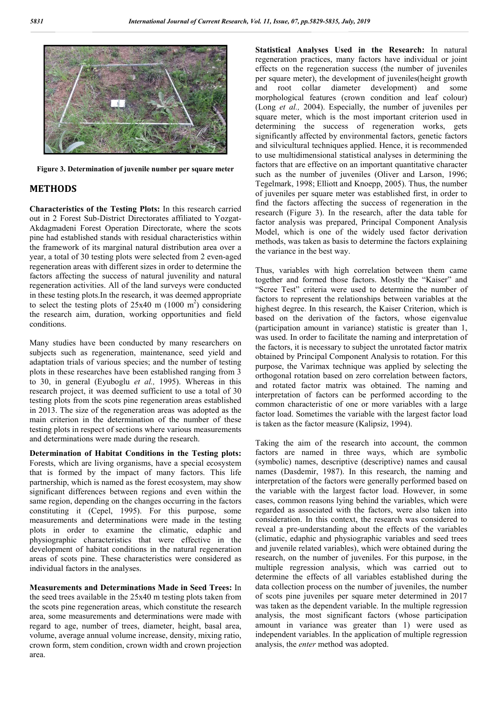

**Figure 3. Determination of juvenile number per square meter**

#### **METHODS**

**Characteristics of the Testing Plots:** In this research carried out in 2 Forest Sub-District Directorates affiliated to Yozgat-Akdagmadeni Forest Operation Directorate, where the scots pine had established stands with residual characteristics within the framework of its marginal natural distribution area over a year, a total of 30 testing plots were selected from 2 even-aged regeneration areas with different sizes in order to determine the factors affecting the success of natural juvenility and natural regeneration activities. All of the land surveys were conducted in these testing plots.In the research, it was deemed appropriate to select the testing plots of  $25x40$  m  $(1000 \text{ m}^2)$  considering the research aim, duration, working opportunities and field conditions.

Many studies have been conducted by many researchers on subjects such as regeneration, maintenance, seed yield and adaptation trials of various species; and the number of testing plots in these researches have been established ranging from 3 to 30, in general (Eyuboglu *et al.,* 1995). Whereas in this research project, it was deemed sufficient to use a total of 30 testing plots from the scots pine regeneration areas established in 2013. The size of the regeneration areas was adopted as the main criterion in the determination of the number of these testing plots in respect of sections where various measurements and determinations were made during the research.

**Determination of Habitat Conditions in the Testing plots:**  Forests, which are living organisms, have a special ecosystem that is formed by the impact of many factors. This life partnership, which is named as the forest ecosystem, may show significant differences between regions and even within the same region, depending on the changes occurring in the factors constituting it (Cepel, 1995). For this purpose, some measurements and determinations were made in the testing plots in order to examine the climatic, edaphic and physiographic characteristics that were effective in the development of habitat conditions in the natural regeneration areas of scots pine. These characteristics were considered as individual factors in the analyses.

**Measurements and Determinations Made in Seed Trees:** In the seed trees available in the 25x40 m testing plots taken from the scots pine regeneration areas, which constitute the research area, some measurements and determinations were made with regard to age, number of trees, diameter, height, basal area, volume, average annual volume increase, density, mixing ratio, crown form, stem condition, crown width and crown projection area.

**Statistical Analyses Used in the Research:** In natural regeneration practices, many factors have individual or joint effects on the regeneration success (the number of juveniles per square meter), the development of juveniles(height growth and root collar diameter development) and some morphological features (crown condition and leaf colour) (Long *et al.,* 2004). Especially, the number of juveniles per square meter, which is the most important criterion used in determining the success of regeneration works, gets significantly affected by environmental factors, genetic factors and silvicultural techniques applied. Hence, it is recommended to use multidimensional statistical analyses in determining the factors that are effective on an important quantitative character such as the number of juveniles (Oliver and Larson, 1996; Tegelmark, 1998; Elliott and Knoepp, 2005). Thus, the number of juveniles per square meter was established first, in order to find the factors affecting the success of regeneration in the research (Figure 3). In the research, after the data table for factor analysis was prepared, Principal Component Analysis Model, which is one of the widely used factor derivation methods, was taken as basis to determine the factors explaining the variance in the best way.

Thus, variables with high correlation between them came together and formed those factors. Mostly the "Kaiser" and "Scree Test" criteria were used to determine the number of factors to represent the relationships between variables at the highest degree. In this research, the Kaiser Criterion, which is based on the derivation of the factors, whose eigenvalue (participation amount in variance) statistic is greater than 1, was used. In order to facilitate the naming and interpretation of the factors, it is necessary to subject the unrotated factor matrix obtained by Principal Component Analysis to rotation. For this purpose, the Varimax technique was applied by selecting the orthogonal rotation based on zero correlation between factors, and rotated factor matrix was obtained. The naming and interpretation of factors can be performed according to the common characteristic of one or more variables with a large factor load. Sometimes the variable with the largest factor load is taken as the factor measure (Kalipsiz, 1994).

Taking the aim of the research into account, the common factors are named in three ways, which are symbolic (symbolic) names, descriptive (descriptive) names and causal names (Dasdemir, 1987). In this research, the naming and interpretation of the factors were generally performed based on the variable with the largest factor load. However, in some cases, common reasons lying behind the variables, which were regarded as associated with the factors, were also taken into consideration. In this context, the research was considered to reveal a pre-understanding about the effects of the variables (climatic, edaphic and physiographic variables and seed trees and juvenile related variables), which were obtained during the research, on the number of juveniles. For this purpose, in the multiple regression analysis, which was carried out to determine the effects of all variables established during the data collection process on the number of juveniles, the number of scots pine juveniles per square meter determined in 2017 was taken as the dependent variable. In the multiple regression analysis, the most significant factors (whose participation amount in variance was greater than 1) were used as independent variables. In the application of multiple regression analysis, the *enter* method was adopted.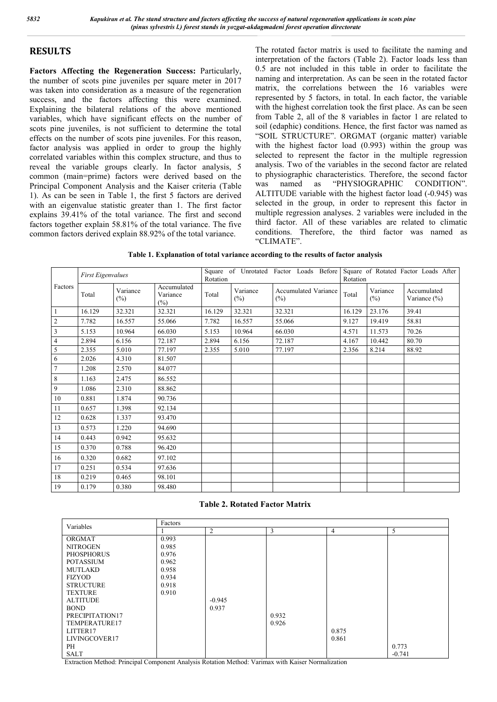# **RESULTS**

**Factors Affecting the Regeneration Success:** Particularly, the number of scots pine juveniles per square meter in 2017 was taken into consideration as a measure of the regeneration success, and the factors affecting this were examined. Explaining the bilateral relations of the above mentioned variables, which have significant effects on the number of scots pine juveniles, is not sufficient to determine the total effects on the number of scots pine juveniles. For this reason, factor analysis was applied in order to group the highly correlated variables within this complex structure, and thus to reveal the variable groups clearly. In factor analysis, 5 common (main=prime) factors were derived based on the Principal Component Analysis and the Kaiser criteria (Table 1). As can be seen in Table 1, the first 5 factors are derived with an eigenvalue statistic greater than 1. The first factor explains 39.41% of the total variance. The first and second factors together explain 58.81% of the total variance. The five common factors derived explain 88.92% of the total variance.

The rotated factor matrix is used to facilitate the naming and interpretation of the factors (Table 2). Factor loads less than 0.5 are not included in this table in order to facilitate the naming and interpretation. As can be seen in the rotated factor matrix, the correlations between the 16 variables were represented by 5 factors, in total. In each factor, the variable with the highest correlation took the first place. As can be seen from Table 2, all of the 8 variables in factor 1 are related to soil (edaphic) conditions. Hence, the first factor was named as "SOIL STRUCTURE". ORGMAT (organic matter) variable with the highest factor load (0.993) within the group was selected to represent the factor in the multiple regression analysis. Two of the variables in the second factor are related to physiographic characteristics. Therefore, the second factor was named as "PHYSIOGRAPHIC CONDITION". ALTITUDE variable with the highest factor load (-0.945) was selected in the group, in order to represent this factor in multiple regression analyses. 2 variables were included in the third factor. All of these variables are related to climatic conditions. Therefore, the third factor was named as "CLIMATE".

| Table 1. Explanation of total variance according to the results of factor analysis |  |  |  |  |
|------------------------------------------------------------------------------------|--|--|--|--|
|                                                                                    |  |  |  |  |

|                | <b>First Eigenvalues</b> |                    |                                | Square of Unrotated Factor Loads Before<br>Rotation |                    |                                       | Square of Rotated Factor Loads After<br>Rotation |                    |                                |
|----------------|--------------------------|--------------------|--------------------------------|-----------------------------------------------------|--------------------|---------------------------------------|--------------------------------------------------|--------------------|--------------------------------|
| Factors        | Total                    | Variance<br>$(\%)$ | Accumulated<br>Variance<br>(%) | Total                                               | Variance<br>$(\%)$ | <b>Accumulated Variance</b><br>$(\%)$ | Total                                            | Variance<br>$(\%)$ | Accumulated<br>Variance $(\%)$ |
| $\overline{1}$ | 16.129                   | 32.321             | 32.321                         | 16.129                                              | 32.321             | 32.321                                | 16.129                                           | 23.176             | 39.41                          |
| $\sqrt{2}$     | 7.782                    | 16.557             | 55.066                         | 7.782                                               | 16.557             | 55.066                                | 9.127                                            | 19.419             | 58.81                          |
| $\overline{3}$ | 5.153                    | 10.964             | 66.030                         | 5.153                                               | 10.964             | 66.030                                | 4.571                                            | 11.573             | 70.26                          |
| $\overline{4}$ | 2.894                    | 6.156              | 72.187                         | 2.894                                               | 6.156              | 72.187                                | 4.167                                            | 10.442             | 80.70                          |
| $\overline{5}$ | 2.355                    | 5.010              | 77.197                         | 2.355                                               | 5.010              | 77.197                                | 2.356                                            | 8.214              | 88.92                          |
| 6              | 2.026                    | 4.310              | 81.507                         |                                                     |                    |                                       |                                                  |                    |                                |
| $\overline{7}$ | 1.208                    | 2.570              | 84.077                         |                                                     |                    |                                       |                                                  |                    |                                |
| $\,8\,$        | 1.163                    | 2.475              | 86.552                         |                                                     |                    |                                       |                                                  |                    |                                |
| $\overline{9}$ | 1.086                    | 2.310              | 88.862                         |                                                     |                    |                                       |                                                  |                    |                                |
| 10             | 0.881                    | 1.874              | 90.736                         |                                                     |                    |                                       |                                                  |                    |                                |
| 11             | 0.657                    | 1.398              | 92.134                         |                                                     |                    |                                       |                                                  |                    |                                |
| 12             | 0.628                    | 1.337              | 93.470                         |                                                     |                    |                                       |                                                  |                    |                                |
| 13             | 0.573                    | 1.220              | 94.690                         |                                                     |                    |                                       |                                                  |                    |                                |
| 14             | 0.443                    | 0.942              | 95.632                         |                                                     |                    |                                       |                                                  |                    |                                |
| $15\,$         | 0.370                    | 0.788              | 96.420                         |                                                     |                    |                                       |                                                  |                    |                                |
| 16             | 0.320                    | 0.682              | 97.102                         |                                                     |                    |                                       |                                                  |                    |                                |
| 17             | 0.251                    | 0.534              | 97.636                         |                                                     |                    |                                       |                                                  |                    |                                |
| 18             | 0.219                    | 0.465              | 98.101                         |                                                     |                    |                                       |                                                  |                    |                                |
| 19             | 0.179                    | 0.380              | 98.480                         |                                                     |                    |                                       |                                                  |                    |                                |

#### **Table 2. Rotated Factor Matrix**

| Variables         | Factors |          |       |                |          |  |  |
|-------------------|---------|----------|-------|----------------|----------|--|--|
|                   |         | 2        | 3     | $\overline{4}$ | 5        |  |  |
| ORGMAT            | 0.993   |          |       |                |          |  |  |
| <b>NITROGEN</b>   | 0.985   |          |       |                |          |  |  |
| <b>PHOSPHORUS</b> | 0.976   |          |       |                |          |  |  |
| <b>POTASSIUM</b>  | 0.962   |          |       |                |          |  |  |
| <b>MUTLAKD</b>    | 0.958   |          |       |                |          |  |  |
| <b>FIZYOD</b>     | 0.934   |          |       |                |          |  |  |
| <b>STRUCTURE</b>  | 0.918   |          |       |                |          |  |  |
| <b>TEXTURE</b>    | 0.910   |          |       |                |          |  |  |
| <b>ALTITUDE</b>   |         | $-0.945$ |       |                |          |  |  |
| <b>BOND</b>       |         | 0.937    |       |                |          |  |  |
| PRECIPITATION17   |         |          | 0.932 |                |          |  |  |
| TEMPERATURE17     |         |          | 0.926 |                |          |  |  |
| LITTER17          |         |          |       | 0.875          |          |  |  |
| LIVINGCOVER17     |         |          |       | 0.861          |          |  |  |
| PH                |         |          |       |                | 0.773    |  |  |
| <b>SALT</b>       |         |          |       |                | $-0.741$ |  |  |

Extraction Method: Principal Component Analysis Rotation Method: Varimax with Kaiser Normalization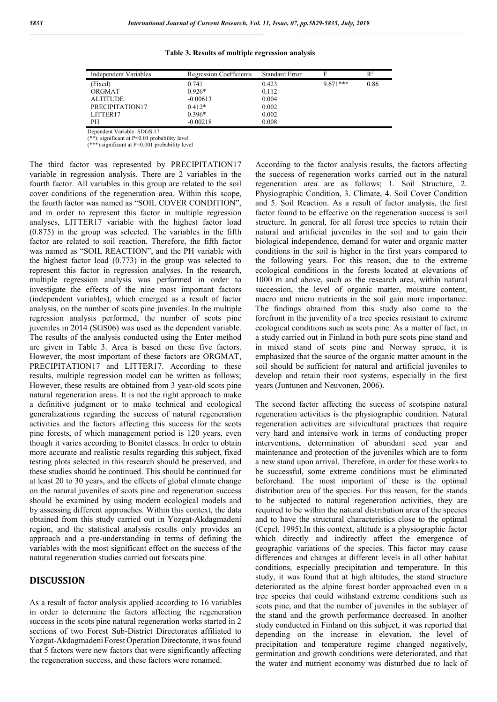| Independent Variables | <b>Regression Coefficients</b> | <b>Standard Error</b> | F          | $R^2$ |
|-----------------------|--------------------------------|-----------------------|------------|-------|
| (Fixed)               | 0.741                          | 0.423                 | $9.671***$ | 0.86  |
| ORGMAT                | $0.926*$                       | 0.112                 |            |       |
| <b>ALTITUDE</b>       | $-0.00613$                     | 0.004                 |            |       |
| PRECIPITATION17       | $0.412*$                       | 0.002                 |            |       |
| LITTER17              | $0.396*$                       | 0.002                 |            |       |
| PН                    | $-0.00218$                     | 0.008                 |            |       |

**Table 3. Results of multiple regression analysis**

Dependent Variable: SDGS.17

(\*\*): significant at P=0.01 probability level

(\*\*\*):significant at P=0.001 probability level

The third factor was represented by PRECIPITATION17 variable in regression analysis. There are 2 variables in the fourth factor. All variables in this group are related to the soil cover conditions of the regeneration area. Within this scope, the fourth factor was named as "SOIL COVER CONDITION", and in order to represent this factor in multiple regression analyses, LITTER17 variable with the highest factor load (0.875) in the group was selected. The variables in the fifth factor are related to soil reaction. Therefore, the fifth factor was named as "SOIL REACTION", and the PH variable with the highest factor load (0.773) in the group was selected to represent this factor in regression analyses. In the research, multiple regression analysis was performed in order to investigate the effects of the nine most important factors (independent variables), which emerged as a result of factor analysis, on the number of scots pine juveniles. In the multiple regression analysis performed, the number of scots pine juveniles in 2014 (SGS06) was used as the dependent variable. The results of the analysis conducted using the Enter method are given in Table 3. Area is based on these five factors. However, the most important of these factors are ORGMAT, PRECIPITATION17 and LITTER17. According to these results, multiple regression model can be written as follows; However, these results are obtained from 3 year-old scots pine natural regeneration areas. It is not the right approach to make a definitive judgment or to make technical and ecological generalizations regarding the success of natural regeneration activities and the factors affecting this success for the scots pine forests, of which management period is 120 years, even though it varies according to Bonitet classes. In order to obtain more accurate and realistic results regarding this subject, fixed testing plots selected in this research should be preserved, and these studies should be continued. This should be continued for at least 20 to 30 years, and the effects of global climate change on the natural juveniles of scots pine and regeneration success should be examined by using modern ecological models and by assessing different approaches. Within this context, the data obtained from this study carried out in Yozgat-Akdagmadeni region, and the statistical analysis results only provides an approach and a pre-understanding in terms of defining the variables with the most significant effect on the success of the natural regeneration studies carried out forscots pine.

### **DISCUSSION**

As a result of factor analysis applied according to 16 variables in order to determine the factors affecting the regeneration success in the scots pine natural regeneration works started in 2 sections of two Forest Sub-District Directorates affiliated to Yozgat-Akdagmadeni Forest Operation Directorate, it was found that 5 factors were new factors that were significantly affecting the regeneration success, and these factors were renamed.

According to the factor analysis results, the factors affecting the success of regeneration works carried out in the natural regeneration area are as follows; 1. Soil Structure, 2. Physiographic Condition, 3. Climate, 4. Soil Cover Condition and 5. Soil Reaction. As a result of factor analysis, the first factor found to be effective on the regeneration success is soil structure. In general, for all forest tree species to retain their natural and artificial juveniles in the soil and to gain their biological independence, demand for water and organic matter conditions in the soil is higher in the first years compared to the following years. For this reason, due to the extreme ecological conditions in the forests located at elevations of 1000 m and above, such as the research area, within natural succession, the level of organic matter, moisture content, macro and micro nutrients in the soil gain more importance. The findings obtained from this study also come to the forefront in the juvenility of a tree species resistant to extreme ecological conditions such as scots pine. As a matter of fact, in a study carried out in Finland in both pure scots pine stand and in mixed stand of scots pine and Norway spruce, it is emphasized that the source of the organic matter amount in the soil should be sufficient for natural and artificial juveniles to develop and retain their root systems, especially in the first years (Juntunen and Neuvonen, 2006).

The second factor affecting the success of scotspine natural regeneration activities is the physiographic condition. Natural regeneration activities are silvicultural practices that require very hard and intensive work in terms of conducting proper interventions, determination of abundant seed year and maintenance and protection of the juveniles which are to form a new stand upon arrival. Therefore, in order for these works to be successful, some extreme conditions must be eliminated beforehand. The most important of these is the optimal distribution area of the species. For this reason, for the stands to be subjected to natural regeneration activities, they are required to be within the natural distribution area of the species and to have the structural characteristics close to the optimal (Cepel, 1995).In this context, altitude is a physiographic factor which directly and indirectly affect the emergence of geographic variations of the species. This factor may cause differences and changes at different levels in all other habitat conditions, especially precipitation and temperature. In this study, it was found that at high altitudes, the stand structure deteriorated as the alpine forest border approached even in a tree species that could withstand extreme conditions such as scots pine, and that the number of juveniles in the sublayer of the stand and the growth performance decreased. In another study conducted in Finland on this subject, it was reported that depending on the increase in elevation, the level of precipitation and temperature regime changed negatively, germination and growth conditions were deteriorated, and that the water and nutrient economy was disturbed due to lack of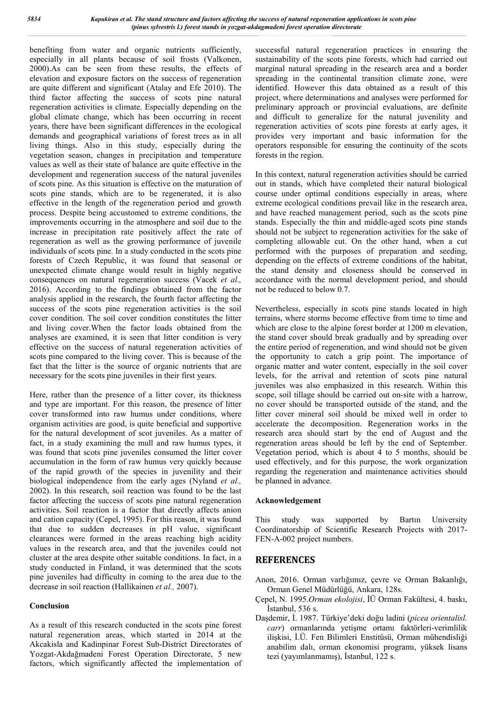benefiting from water and organic nutrients sufficiently, especially in all plants because of soil frosts (Valkonen, 2000).As can be seen from these results, the effects of elevation and exposure factors on the success of regeneration are quite different and significant (Atalay and Efe 2010). The third factor affecting the success of scots pine natural regeneration activities is climate. Especially depending on the global climate change, which has been occurring in recent years, there have been significant differences in the ecological demands and geographical variations of forest trees as in all living things. Also in this study, especially during the vegetation season, changes in precipitation and temperature values as well as their state of balance are quite effective in the development and regeneration success of the natural juveniles of scots pine. As this situation is effective on the maturation of scots pine stands, which are to be regenerated, it is also effective in the length of the regeneration period and growth process. Despite being accustomed to extreme conditions, the improvements occurring in the atmosphere and soil due to the increase in precipitation rate positively affect the rate of regeneration as well as the growing performance of juvenile individuals of scots pine. In a study conducted in the scots pine forests of Czech Republic, it was found that seasonal or unexpected climate change would result in highly negative consequences on natural regeneration success (Vacek *et al.,*  2016). According to the findings obtained from the factor analysis applied in the research, the fourth factor affecting the success of the scots pine regeneration activities is the soil cover condition. The soil cover condition constitutes the litter and living cover.When the factor loads obtained from the analyses are examined, it is seen that litter condition is very effective on the success of natural regeneration activities of scots pine compared to the living cover. This is because of the fact that the litter is the source of organic nutrients that are necessary for the scots pine juveniles in their first years.

Here, rather than the presence of a litter cover, its thickness and type are important. For this reason, the presence of litter cover transformed into raw humus under conditions, where organism activities are good, is quite beneficial and supportive for the natural development of scot juveniles. As a matter of fact, in a study examining the mull and raw humus types, it was found that scots pine juveniles consumed the litter cover accumulation in the form of raw humus very quickly because of the rapid growth of the species in juvenility and their biological independence from the early ages (Nyland *et al.,*  2002). In this research, soil reaction was found to be the last factor affecting the success of scots pine natural regeneration activities. Soil reaction is a factor that directly affects anion and cation capacity (Cepel, 1995). For this reason, it was found that due to sudden decreases in pH value, significant clearances were formed in the areas reaching high acidity values in the research area, and that the juveniles could not cluster at the area despite other suitable conditions. In fact, in a study conducted in Finland, it was determined that the scots pine juveniles had difficulty in coming to the area due to the decrease in soil reaction (Hallikainen *et al.,* 2007).

#### **Conclusion**

As a result of this research conducted in the scots pine forest natural regeneration areas, which started in 2014 at the Akcakisla and Kadinpinar Forest Sub-District Directorates of Yozgat-Akdağmadeni Forest Operation Directorate, 5 new factors, which significantly affected the implementation of successful natural regeneration practices in ensuring the sustainability of the scots pine forests, which had carried out marginal natural spreading in the research area and a border spreading in the continental transition climate zone, were identified. However this data obtained as a result of this project, where determinations and analyses were performed for preliminary approach or provincial evaluations, are definite and difficult to generalize for the natural juvenility and regeneration activities of scots pine forests at early ages, it provides very important and basic information for the operators responsible for ensuring the continuity of the scots forests in the region.

In this context, natural regeneration activities should be carried out in stands, which have completed their natural biological course under optimal conditions especially in areas, where extreme ecological conditions prevail like in the research area, and have reached management period, such as the scots pine stands. Especially the thin and middle-aged scots pine stands should not be subject to regeneration activities for the sake of completing allowable cut. On the other hand, when a cut performed with the purposes of preparation and seeding, depending on the effects of extreme conditions of the habitat, the stand density and closeness should be conserved in accordance with the normal development period, and should not be reduced to below 0.7.

Nevertheless, especially in scots pine stands located in high terrains, where storms become effective from time to time and which are close to the alpine forest border at 1200 m elevation, the stand cover should break gradually and by spreading over the entire period of regeneration, and wind should not be given the opportunity to catch a grip point. The importance of organic matter and water content, especially in the soil cover levels, for the arrival and retention of scots pine natural juveniles was also emphasized in this research. Within this scope, soil tillage should be carried out on-site with a harrow, no cover should be transported outside of the stand, and the litter cover mineral soil should be mixed well in order to accelerate the decomposition. Regeneration works in the research area should start by the end of August and the regeneration areas should be left by the end of September. Vegetation period, which is about 4 to 5 months, should be used effectively, and for this purpose, the work organization regarding the regeneration and maintenance activities should be planned in advance.

#### **Acknowledgement**

This study was supported by Bartın University Coordinatorship of Scientific Research Projects with 2017- FEN-A-002 project numbers.

## **REFERENCES**

- Anon, 2016. Orman varlığımız, çevre ve Orman Bakanlığı, Orman Genel Müdürlüğü, Ankara, 128s.
- Çepel, N. 1995.*Orman ekolojisi*, İÜ Orman Fakültesi, 4. baskı, İstanbul, 536 s.
- Daşdemir, İ. 1987. Türkiye'deki doğu ladini (*picea orientalisl. carr*) ormanlarında yetişme ortamı faktörleri-verimlilik ilişkisi, İ.Ü. Fen Bilimleri Enstitüsü, Orman mühendisliği anabilim dalı, orman ekonomisi programı, yüksek lisans tezi (yayımlanmamış), İstanbul, 122 s.